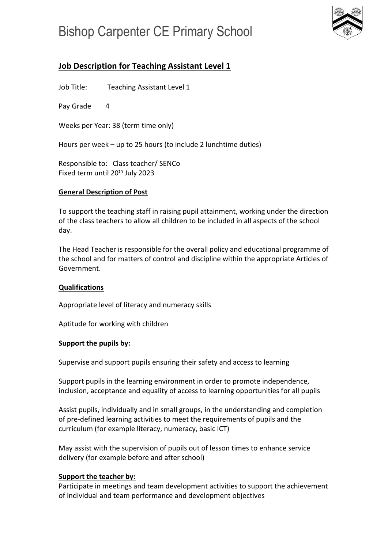# Bishop Carpenter CE Primary School



# **Job Description for Teaching Assistant Level 1**

Job Title: Teaching Assistant Level 1

Pay Grade 4

Weeks per Year: 38 (term time only)

Hours per week – up to 25 hours (to include 2 lunchtime duties)

Responsible to: Class teacher/ SENCo Fixed term until 20<sup>th</sup> July 2023

## **General Description of Post**

To support the teaching staff in raising pupil attainment, working under the direction of the class teachers to allow all children to be included in all aspects of the school day.

The Head Teacher is responsible for the overall policy and educational programme of the school and for matters of control and discipline within the appropriate Articles of Government.

### **Qualifications**

Appropriate level of literacy and numeracy skills

Aptitude for working with children

### **Support the pupils by:**

Supervise and support pupils ensuring their safety and access to learning

Support pupils in the learning environment in order to promote independence, inclusion, acceptance and equality of access to learning opportunities for all pupils

Assist pupils, individually and in small groups, in the understanding and completion of pre-defined learning activities to meet the requirements of pupils and the curriculum (for example literacy, numeracy, basic ICT)

May assist with the supervision of pupils out of lesson times to enhance service delivery (for example before and after school)

# **Support the teacher by:**

Participate in meetings and team development activities to support the achievement of individual and team performance and development objectives